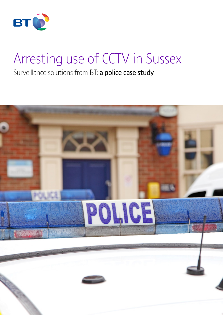

# Arresting use of CCTV in Sussex

Surveillance solutions from BT: a police case study

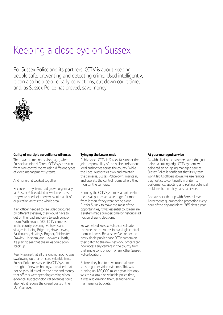### Keeping a close eye on Sussex

For Sussex Police and its partners, CCTV is about keeping people safe, preventing and detecting crime. Used intelligently, it can also help secure early convictions, cut down court time, and, as Sussex Police has proved, save money.



### **Guilty of multiple surveillance offences**

There was a time, not so long ago, when Sussex had nine different CCTV systems run from nine control rooms using different types of video management systems.

And none of it worked together.

Because the systems had grown organically (as Sussex Police added new elements as they were needed), there was quite a bit of duplication across the whole area.

If an officer needed to see video captured by different systems, they would have to get on the road and drive to each control room. With around 500 CCTV cameras in the county, covering 30 towns and villages including Brighton, Hove, Lewes, Eastbourne, Hastings, Bognor, Chichester, Crawley, Horsham, and Haywards Heath, it's plain to see that the miles could soon stack up.

Keenly aware that all this driving around was swallowing up their officers' valuable time, Sussex Police reassessed its CCTV system in the light of new technology. It realised that not only could it reduce the time and money that officers were spending chasing video evidence, but technological advances could also help it reduce the overall costs of their CCTV service.

### **Tying up the Lewes ends**

Public space CCTV in Sussex falls under the joint responsibility of the police and various local authorities across the county. While the Local Authorities own and maintain the cameras, Sussex Police own, maintain, and operate the control rooms where they monitor the cameras.

Running the CCTV system as a partnership means all parties are able to get far more from it than if they were acting alone. But for Sussex to make the most of the opportunities, it was essential to streamline a system made cumbersome by historical ad hoc purchasing decisions.

So we helped Sussex Police consolidate the nine control rooms into a single control room in Lewes. Because we've connected every single public space CCTV camera on their patch to the new network, officers can now access any camera in the county from that single control room or any other Sussex Police location.

Before, they had to drive round all nine sites to gather video evidence. This was running up 180,000 miles a year. Not only was this a strain on valuable police time, it was also draining the fuel and vehicle maintenance budgets.

#### **At your managed service**

As with all of our customers, we didn't just deliver a cutting edge CCTV system, we delivered an on-going managed service. Sussex Police is confident that its system won't let its officers down: we use remote diagnostics to continually monitor its performance, spotting and sorting potential problems before they cause an issue.

And we back that up with Service Level Agreements guaranteeing protection every hour of the day and night, 365 days a year.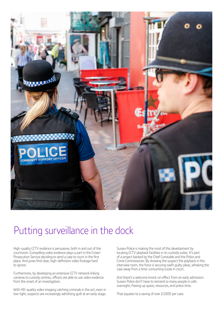

### Putting surveillance in the dock

High-quality CCTV evidence is persuasive, both in and out of the courtroom. Compelling video evidence plays a part in the Crown Prosecution Service deciding to send a case to court in the first place. And juries find clear, high-definition video footage hard to ignore.

Furthermore, by developing an extensive CCTV network linking cameras to custody centres, officers are able to use video evidence from the onset of an investigation.

With HD-quality video imaging catching criminals in the act, even in low-light, suspects are increasingly admitting guilt at an early stage.

Sussex Police is making the most of this development by locating CCTV playback facilities in its custody suites. It's part of a project backed by the Chief Constable and the Police and Crime Commissioner. By showing the suspect the playback in the interview room, the force is securing swift guilty pleas, whisking the case away from a time-consuming tussle in court.

And there's a welcome knock-on effect from an early admission: Sussex Police don't have to remand so many people in cells overnight, freeing up space, resources, and police time.

That equates to a saving of over £1000 per case.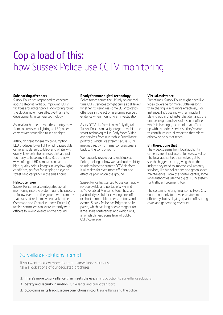### Cop a load of this: how Sussex Police use CCTV monitoring

### **Safe parking after dark**

Sussex Police has responded to concerns about safety at night by improving CCTV facilities around car parks. Monitoring round the clock is now more effective thanks to developments in camera technology.

As local authorities across the country move from sodium street lighting to LED, older cameras are struggling to see at night.

Although great for energy consumption, LED produces lower light which causes older cameras to default to black and white, with grainy, low-definition images that are just too noisy to have any value. But the new wave of digital HD cameras can capture high-quality colour images in very low light conditions, perfect for keeping an eye on streets and car parks in the small hours.

### **Helicopter view**

Sussex Police has also integrated aerial monitoring into the system, using helicopters to follow events on the ground with cameras that transmit real-time video back to the Command and Control in Lewes Police HQ (which controllers can share instantly with officers following events on the ground).

### **Ready for more digital technology**

Police forces across the UK rely on our realtime CCTV services to fight crime at all levels, whether it's using real-time CCTV to catch offenders in the act or as a prime source of evidence when mounting an investigation.

As its CCTV platform is now fully digital, Sussex Police can easily integrate mobile and smart technologies like Body Worn Video and services from our Mobile Surveillance portfolio, which live stream secure CCTV images directly from smartphone screens back to the control room.

We regularly review plans with Sussex Police, looking at how we can build mobility solutions into the current CCTV platform. It all makes for even more efficient and effective policing on the ground.

Sussex Police has started to use our rapidly re-deployable and portable Wi-Fi and 3/4G-enabled Minicams, too. These are particularly useful for covering one-off or short-term public order situations and events. Sussex Police has Brighton on its patch, which has long been a magnet for large-scale conferences and exhibitions, all of which need some level of public CCTV coverage.

### **Virtual assistance**

Sometimes, Sussex Police might need live video coverage for more subtle reasons than chasing villains more effectively. For instance, if it's dealing with an incident playing out in Chichester that demands the unique insight and skills of a senior officer who's in Hastings, it can link that officer up with the video service so they're able to contribute virtual expertise that might otherwise be out of reach.

### **Bin there, done that**

The video streams from local authority cameras aren't just useful for Sussex Police. The local authorities themselves get to see the bigger picture, giving them the insight they need to improve civil amenity services, like bin collections and green space maintenance. From the control centre, some local authorities use the digital CCTV system for traffic enforcement, too.

The system is helping Brighton & Hove City Council not only to provide services more efficiently, but is playing a part in off-setting costs and generating revenues.

### Surveillance solutions from BT

If you want to know more about our surveillance solutions, take a look at one of our dedicated brochures:

- **1.** There's more to surveillance than meets the eye: an introduction to surveillance solutions.
- **2.** Safety and security in motion: surveillance and public transport.
- **3.** Stop crime in its tracks, secure convictions in court: surveillance and the police.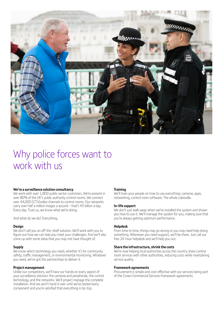

### Why police forces want to work with us

### **We're a surveillance solution consultancy**

We work with over 1,800 public sector customers. We're present in over 80% of the UK's public authority control rooms. We connect over 44,000 CCTV/video channels to control rooms. Our networks carry over half a million images a second – that's 43 billion a day. Every day. Trust us, we know what we're doing.

And what do we do? Everything.

#### **Design**

We don't sell you an off-the-shelf solution. We'll work with you to figure out how we can help you meet your challenges. And we'll also come up with some ideas that you may not have thought of.

#### **Supply**

We know which technology you need, whether it's for community safety, traffic management, or environmental monitoring. Whatever you need, we've got the partnerships to deliver it.

### **Project management**

Unlike our competitors, we'll have our hands on every aspect of your surveillance solution: the cameras and peripherals, the control technology, and the networks. We'll project manage the complete installation. And we won't hand it over until we've tested every component and you're satisfied that everything is tip-top.

### **Training**

We'll train your people on how to use everything: cameras, apps, networking, control room software. The whole caboodle.

#### **In-life support**

We don't just walk away when we've installed the system and shown you how to use it. We'll manage the system for you, making sure that you're always getting optimum performance.

### **Helpdesk**

From time to time, things may go wrong or you may need help doing something. Whenever you need support, we'll be there. Just call our free 24-hour helpdesk and we'll help you out.

### **Share the infrastructure, shrink the costs**

We're now helping local authorities across the country share control room services with other authorities, reducing costs while maintaining service quality.

#### **Framework agreements**

Procurement is simple and cost-effective with our services being part of the Crown Commercial Services framework agreements.